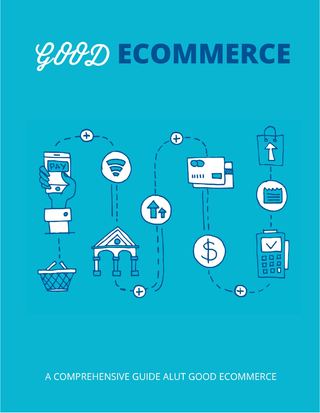# **GOOD ECOMMERCE**



## A COMPREHENSIVE GUIDE ALUT GOOD ECOMMERCE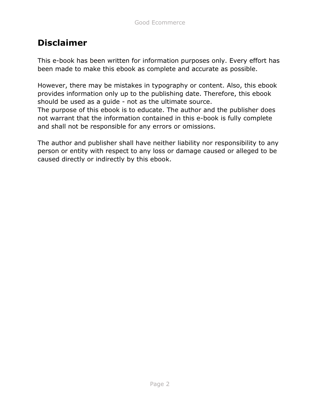### **Disclaimer**

This e-book has been written for information purposes only. Every effort has been made to make this ebook as complete and accurate as possible.

However, there may be mistakes in typography or content. Also, this ebook provides information only up to the publishing date. Therefore, this ebook should be used as a guide - not as the ultimate source. The purpose of this ebook is to educate. The author and the publisher does not warrant that the information contained in this e-book is fully complete

and shall not be responsible for any errors or omissions.

The author and publisher shall have neither liability nor responsibility to any person or entity with respect to any loss or damage caused or alleged to be caused directly or indirectly by this ebook.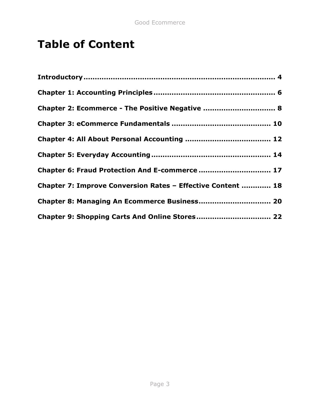## **Table of Content**

| Chapter 2: Ecommerce - The Positive Negative  8             |
|-------------------------------------------------------------|
|                                                             |
|                                                             |
|                                                             |
| Chapter 6: Fraud Protection And E-commerce  17              |
| Chapter 7: Improve Conversion Rates - Effective Content  18 |
| Chapter 8: Managing An Ecommerce Business 20                |
| Chapter 9: Shopping Carts And Online Stores 22              |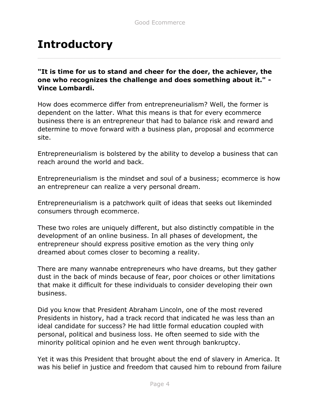## **Introductory**

**"It is time for us to stand and cheer for the doer, the achiever, the one who recognizes the challenge and does something about it." - Vince Lombardi.**

How does ecommerce differ from entrepreneurialism? Well, the former is dependent on the latter. What this means is that for every ecommerce business there is an entrepreneur that had to balance risk and reward and determine to move forward with a business plan, proposal and ecommerce site.

Entrepreneurialism is bolstered by the ability to develop a business that can reach around the world and back.

Entrepreneurialism is the mindset and soul of a business; ecommerce is how an entrepreneur can realize a very personal dream.

Entrepreneurialism is a patchwork quilt of ideas that seeks out likeminded consumers through ecommerce.

These two roles are uniquely different, but also distinctly compatible in the development of an online business. In all phases of development, the entrepreneur should express positive emotion as the very thing only dreamed about comes closer to becoming a reality.

There are many wannabe entrepreneurs who have dreams, but they gather dust in the back of minds because of fear, poor choices or other limitations that make it difficult for these individuals to consider developing their own business.

Did you know that President Abraham Lincoln, one of the most revered Presidents in history, had a track record that indicated he was less than an ideal candidate for success? He had little formal education coupled with personal, political and business loss. He often seemed to side with the minority political opinion and he even went through bankruptcy.

Yet it was this President that brought about the end of slavery in America. It was his belief in justice and freedom that caused him to rebound from failure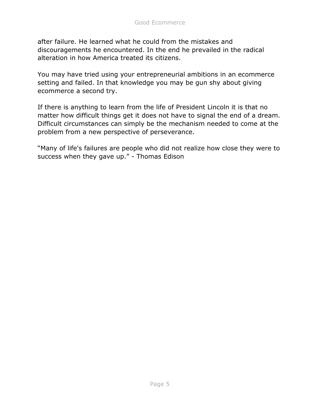after failure. He learned what he could from the mistakes and discouragements he encountered. In the end he prevailed in the radical alteration in how America treated its citizens.

You may have tried using your entrepreneurial ambitions in an ecommerce setting and failed. In that knowledge you may be gun shy about giving ecommerce a second try.

If there is anything to learn from the life of President Lincoln it is that no matter how difficult things get it does not have to signal the end of a dream. Difficult circumstances can simply be the mechanism needed to come at the problem from a new perspective of perseverance.

"Many of life's failures are people who did not realize how close they were to success when they gave up." - Thomas Edison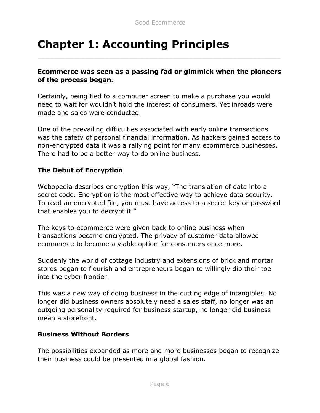## **Chapter 1: Accounting Principles**

#### **Ecommerce was seen as a passing fad or gimmick when the pioneers of the process began.**

Certainly, being tied to a computer screen to make a purchase you would need to wait for wouldn't hold the interest of consumers. Yet inroads were made and sales were conducted.

One of the prevailing difficulties associated with early online transactions was the safety of personal financial information. As hackers gained access to non-encrypted data it was a rallying point for many ecommerce businesses. There had to be a better way to do online business.

#### **The Debut of Encryption**

Webopedia describes encryption this way, "The translation of data into a secret code. Encryption is the most effective way to achieve data security. To read an encrypted file, you must have access to a secret key or password that enables you to decrypt it."

The keys to ecommerce were given back to online business when transactions became encrypted. The privacy of customer data allowed ecommerce to become a viable option for consumers once more.

Suddenly the world of cottage industry and extensions of brick and mortar stores began to flourish and entrepreneurs began to willingly dip their toe into the cyber frontier.

This was a new way of doing business in the cutting edge of intangibles. No longer did business owners absolutely need a sales staff, no longer was an outgoing personality required for business startup, no longer did business mean a storefront.

#### **Business Without Borders**

The possibilities expanded as more and more businesses began to recognize their business could be presented in a global fashion.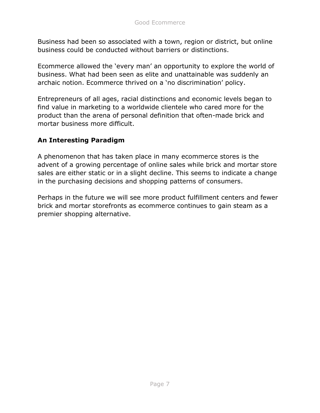Business had been so associated with a town, region or district, but online business could be conducted without barriers or distinctions.

Ecommerce allowed the 'every man' an opportunity to explore the world of business. What had been seen as elite and unattainable was suddenly an archaic notion. Ecommerce thrived on a 'no discrimination' policy.

Entrepreneurs of all ages, racial distinctions and economic levels began to find value in marketing to a worldwide clientele who cared more for the product than the arena of personal definition that often-made brick and mortar business more difficult.

#### **An Interesting Paradigm**

A phenomenon that has taken place in many ecommerce stores is the advent of a growing percentage of online sales while brick and mortar store sales are either static or in a slight decline. This seems to indicate a change in the purchasing decisions and shopping patterns of consumers.

Perhaps in the future we will see more product fulfillment centers and fewer brick and mortar storefronts as ecommerce continues to gain steam as a premier shopping alternative.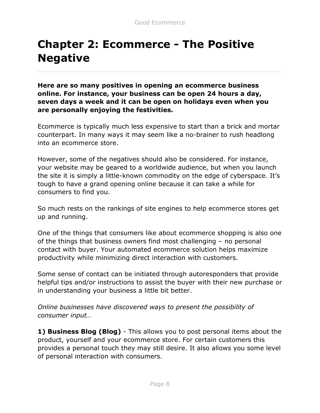## **Chapter 2: Ecommerce - The Positive Negative**

**Here are so many positives in opening an ecommerce business online. For instance, your business can be open 24 hours a day, seven days a week and it can be open on holidays even when you are personally enjoying the festivities.**

Ecommerce is typically much less expensive to start than a brick and mortar counterpart. In many ways it may seem like a no-brainer to rush headlong into an ecommerce store.

However, some of the negatives should also be considered. For instance, your website may be geared to a worldwide audience, but when you launch the site it is simply a little-known commodity on the edge of cyberspace. It's tough to have a grand opening online because it can take a while for consumers to find you.

So much rests on the rankings of site engines to help ecommerce stores get up and running.

One of the things that consumers like about ecommerce shopping is also one of the things that business owners find most challenging – no personal contact with buyer. Your automated ecommerce solution helps maximize productivity while minimizing direct interaction with customers.

Some sense of contact can be initiated through autoresponders that provide helpful tips and/or instructions to assist the buyer with their new purchase or in understanding your business a little bit better.

*Online businesses have discovered ways to present the possibility of consumer input…*

**1) Business Blog (Blog)** - This allows you to post personal items about the product, yourself and your ecommerce store. For certain customers this provides a personal touch they may still desire. It also allows you some level of personal interaction with consumers.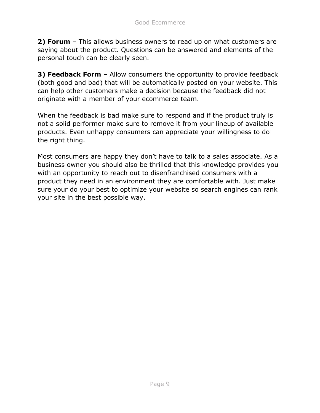**2) Forum** – This allows business owners to read up on what customers are saying about the product. Questions can be answered and elements of the personal touch can be clearly seen.

**3) Feedback Form** – Allow consumers the opportunity to provide feedback (both good and bad) that will be automatically posted on your website. This can help other customers make a decision because the feedback did not originate with a member of your ecommerce team.

When the feedback is bad make sure to respond and if the product truly is not a solid performer make sure to remove it from your lineup of available products. Even unhappy consumers can appreciate your willingness to do the right thing.

Most consumers are happy they don't have to talk to a sales associate. As a business owner you should also be thrilled that this knowledge provides you with an opportunity to reach out to disenfranchised consumers with a product they need in an environment they are comfortable with. Just make sure your do your best to optimize your website so search engines can rank your site in the best possible way.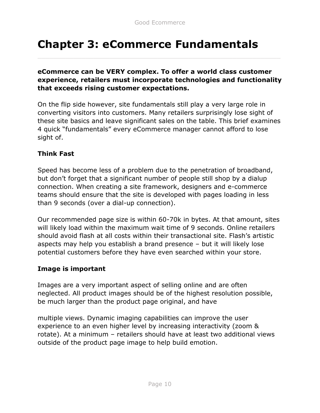## **Chapter 3: eCommerce Fundamentals**

#### **eCommerce can be VERY complex. To offer a world class customer experience, retailers must incorporate technologies and functionality that exceeds rising customer expectations.**

On the flip side however, site fundamentals still play a very large role in converting visitors into customers. Many retailers surprisingly lose sight of these site basics and leave significant sales on the table. This brief examines 4 quick "fundamentals" every eCommerce manager cannot afford to lose sight of.

#### **Think Fast**

Speed has become less of a problem due to the penetration of broadband, but don't forget that a significant number of people still shop by a dialup connection. When creating a site framework, designers and e-commerce teams should ensure that the site is developed with pages loading in less than 9 seconds (over a dial-up connection).

Our recommended page size is within 60-70k in bytes. At that amount, sites will likely load within the maximum wait time of 9 seconds. Online retailers should avoid flash at all costs within their transactional site. Flash's artistic aspects may help you establish a brand presence – but it will likely lose potential customers before they have even searched within your store.

#### **Image is important**

Images are a very important aspect of selling online and are often neglected. All product images should be of the highest resolution possible, be much larger than the product page original, and have

multiple views. Dynamic imaging capabilities can improve the user experience to an even higher level by increasing interactivity (zoom & rotate). At a minimum – retailers should have at least two additional views outside of the product page image to help build emotion.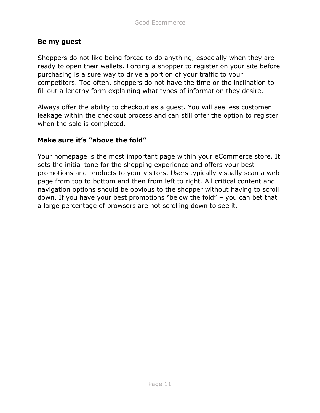#### **Be my guest**

Shoppers do not like being forced to do anything, especially when they are ready to open their wallets. Forcing a shopper to register on your site before purchasing is a sure way to drive a portion of your traffic to your competitors. Too often, shoppers do not have the time or the inclination to fill out a lengthy form explaining what types of information they desire.

Always offer the ability to checkout as a guest. You will see less customer leakage within the checkout process and can still offer the option to register when the sale is completed.

#### **Make sure it's "above the fold"**

Your homepage is the most important page within your eCommerce store. It sets the initial tone for the shopping experience and offers your best promotions and products to your visitors. Users typically visually scan a web page from top to bottom and then from left to right. All critical content and navigation options should be obvious to the shopper without having to scroll down. If you have your best promotions "below the fold" – you can bet that a large percentage of browsers are not scrolling down to see it.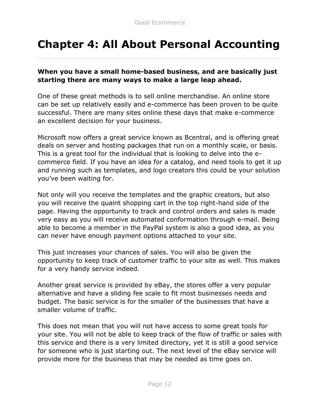## **Chapter 4: All About Personal Accounting**

#### **When you have a small home-based business, and are basically just starting there are many ways to make a large leap ahead.**

One of these great methods is to sell online merchandise. An online store can be set up relatively easily and e-commerce has been proven to be quite successful. There are many sites online these days that make e-commerce an excellent decision for your business.

Microsoft now offers a great service known as Bcentral, and is offering great deals on server and hosting packages that run on a monthly scale, or basis. This is a great tool for the individual that is looking to delve into the ecommerce field. If you have an idea for a catalog, and need tools to get it up and running such as templates, and logo creators this could be your solution you've been waiting for.

Not only will you receive the templates and the graphic creators, but also you will receive the quaint shopping cart in the top right-hand side of the page. Having the opportunity to track and control orders and sales is made very easy as you will receive automated conformation through e-mail. Being able to become a member in the PayPal system is also a good idea, as you can never have enough payment options attached to your site.

This just increases your chances of sales. You will also be given the opportunity to keep track of customer traffic to your site as well. This makes for a very handy service indeed.

Another great service is provided by eBay, the stores offer a very popular alternative and have a sliding fee scale to fit most businesses needs and budget. The basic service is for the smaller of the businesses that have a smaller volume of traffic.

This does not mean that you will not have access to some great tools for your site. You will not be able to keep track of the flow of traffic or sales with this service and there is a very limited directory, yet it is still a good service for someone who is just starting out. The next level of the eBay service will provide more for the business that may be needed as time goes on.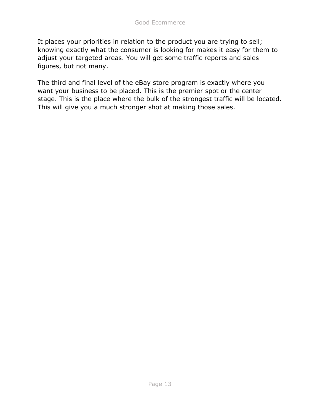It places your priorities in relation to the product you are trying to sell; knowing exactly what the consumer is looking for makes it easy for them to adjust your targeted areas. You will get some traffic reports and sales figures, but not many.

The third and final level of the eBay store program is exactly where you want your business to be placed. This is the premier spot or the center stage. This is the place where the bulk of the strongest traffic will be located. This will give you a much stronger shot at making those sales.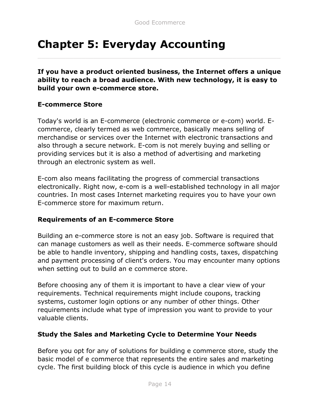## **Chapter 5: Everyday Accounting**

**If you have a product oriented business, the Internet offers a unique ability to reach a broad audience. With new technology, it is easy to build your own e-commerce store.**

#### **E-commerce Store**

Today's world is an E-commerce (electronic commerce or e-com) world. Ecommerce, clearly termed as web commerce, basically means selling of merchandise or services over the Internet with electronic transactions and also through a secure network. E-com is not merely buying and selling or providing services but it is also a method of advertising and marketing through an electronic system as well.

E-com also means facilitating the progress of commercial transactions electronically. Right now, e-com is a well-established technology in all major countries. In most cases Internet marketing requires you to have your own E-commerce store for maximum return.

#### **Requirements of an E-commerce Store**

Building an e-commerce store is not an easy job. Software is required that can manage customers as well as their needs. E-commerce software should be able to handle inventory, shipping and handling costs, taxes, dispatching and payment processing of client's orders. You may encounter many options when setting out to build an e commerce store.

Before choosing any of them it is important to have a clear view of your requirements. Technical requirements might include coupons, tracking systems, customer login options or any number of other things. Other requirements include what type of impression you want to provide to your valuable clients.

#### **Study the Sales and Marketing Cycle to Determine Your Needs**

Before you opt for any of solutions for building e commerce store, study the basic model of e commerce that represents the entire sales and marketing cycle. The first building block of this cycle is audience in which you define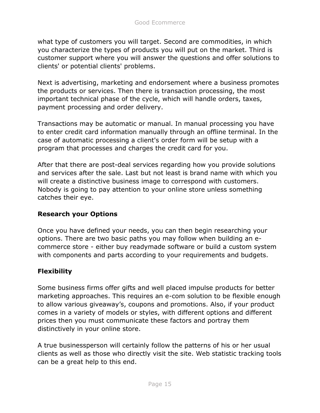what type of customers you will target. Second are commodities, in which you characterize the types of products you will put on the market. Third is customer support where you will answer the questions and offer solutions to clients' or potential clients' problems.

Next is advertising, marketing and endorsement where a business promotes the products or services. Then there is transaction processing, the most important technical phase of the cycle, which will handle orders, taxes, payment processing and order delivery.

Transactions may be automatic or manual. In manual processing you have to enter credit card information manually through an offline terminal. In the case of automatic processing a client's order form will be setup with a program that processes and charges the credit card for you.

After that there are post-deal services regarding how you provide solutions and services after the sale. Last but not least is brand name with which you will create a distinctive business image to correspond with customers. Nobody is going to pay attention to your online store unless something catches their eye.

#### **Research your Options**

Once you have defined your needs, you can then begin researching your options. There are two basic paths you may follow when building an ecommerce store - either buy readymade software or build a custom system with components and parts according to your requirements and budgets.

#### **Flexibility**

Some business firms offer gifts and well placed impulse products for better marketing approaches. This requires an e-com solution to be flexible enough to allow various giveaway's, coupons and promotions. Also, if your product comes in a variety of models or styles, with different options and different prices then you must communicate these factors and portray them distinctively in your online store.

A true businessperson will certainly follow the patterns of his or her usual clients as well as those who directly visit the site. Web statistic tracking tools can be a great help to this end.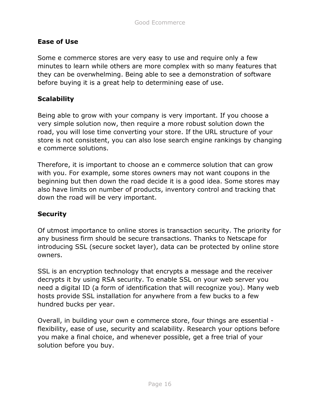#### **Ease of Use**

Some e commerce stores are very easy to use and require only a few minutes to learn while others are more complex with so many features that they can be overwhelming. Being able to see a demonstration of software before buying it is a great help to determining ease of use.

#### **Scalability**

Being able to grow with your company is very important. If you choose a very simple solution now, then require a more robust solution down the road, you will lose time converting your store. If the URL structure of your store is not consistent, you can also lose search engine rankings by changing e commerce solutions.

Therefore, it is important to choose an e commerce solution that can grow with you. For example, some stores owners may not want coupons in the beginning but then down the road decide it is a good idea. Some stores may also have limits on number of products, inventory control and tracking that down the road will be very important.

#### **Security**

Of utmost importance to online stores is transaction security. The priority for any business firm should be secure transactions. Thanks to Netscape for introducing SSL (secure socket layer), data can be protected by online store owners.

SSL is an encryption technology that encrypts a message and the receiver decrypts it by using RSA security. To enable SSL on your web server you need a digital ID (a form of identification that will recognize you). Many web hosts provide SSL installation for anywhere from a few bucks to a few hundred bucks per year.

Overall, in building your own e commerce store, four things are essential flexibility, ease of use, security and scalability. Research your options before you make a final choice, and whenever possible, get a free trial of your solution before you buy.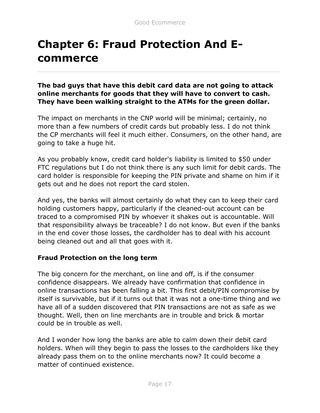# **Chapter 6: Fraud Protection And Ecommerce**

**The bad guys that have this debit card data are not going to attack online merchants for goods that they will have to convert to cash. They have been walking straight to the ATMs for the green dollar.**

The impact on merchants in the CNP world will be minimal; certainly, no more than a few numbers of credit cards but probably less. I do not think the CP merchants will feel it much either. Consumers, on the other hand, are going to take a huge hit.

As you probably know, credit card holder's liability is limited to \$50 under FTC regulations but I do not think there is any such limit for debit cards. The card holder is responsible for keeping the PIN private and shame on him if it gets out and he does not report the card stolen.

And yes, the banks will almost certainly do what they can to keep their card holding customers happy, particularly if the cleaned-out account can be traced to a compromised PIN by whoever it shakes out is accountable. Will that responsibility always be traceable? I do not know. But even if the banks in the end cover those losses, the cardholder has to deal with his account being cleaned out and all that goes with it.

#### **Fraud Protection on the long term**

The big concern for the merchant, on line and off, is if the consumer confidence disappears. We already have confirmation that confidence in online transactions has been falling a bit. This first debit/PIN compromise by itself is survivable, but if it turns out that it was not a one-time thing and we have all of a sudden discovered that PIN transactions are not as safe as we thought. Well, then on line merchants are in trouble and brick & mortar could be in trouble as well.

And I wonder how long the banks are able to calm down their debit card holders. When will they begin to pass the losses to the cardholders like they already pass them on to the online merchants now? It could become a matter of continued existence.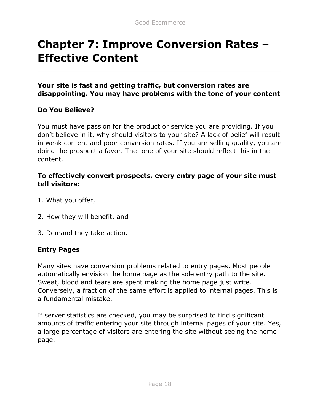## **Chapter 7: Improve Conversion Rates – Effective Content**

**Your site is fast and getting traffic, but conversion rates are disappointing. You may have problems with the tone of your content**

#### **Do You Believe?**

You must have passion for the product or service you are providing. If you don't believe in it, why should visitors to your site? A lack of belief will result in weak content and poor conversion rates. If you are selling quality, you are doing the prospect a favor. The tone of your site should reflect this in the content.

#### **To effectively convert prospects, every entry page of your site must tell visitors:**

- 1. What you offer,
- 2. How they will benefit, and
- 3. Demand they take action.

#### **Entry Pages**

Many sites have conversion problems related to entry pages. Most people automatically envision the home page as the sole entry path to the site. Sweat, blood and tears are spent making the home page just write. Conversely, a fraction of the same effort is applied to internal pages. This is a fundamental mistake.

If server statistics are checked, you may be surprised to find significant amounts of traffic entering your site through internal pages of your site. Yes, a large percentage of visitors are entering the site without seeing the home page.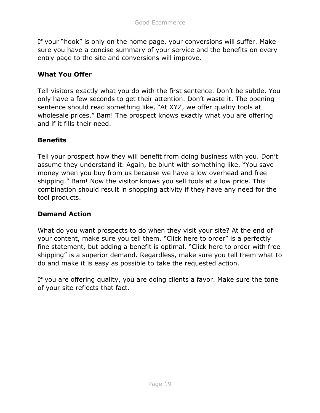If your "hook" is only on the home page, your conversions will suffer. Make sure you have a concise summary of your service and the benefits on every entry page to the site and conversions will improve.

#### **What You Offer**

Tell visitors exactly what you do with the first sentence. Don't be subtle. You only have a few seconds to get their attention. Don't waste it. The opening sentence should read something like, "At XYZ, we offer quality tools at wholesale prices." Bam! The prospect knows exactly what you are offering and if it fills their need.

#### **Benefits**

Tell your prospect how they will benefit from doing business with you. Don't assume they understand it. Again, be blunt with something like, "You save money when you buy from us because we have a low overhead and free shipping." Bam! Now the visitor knows you sell tools at a low price. This combination should result in shopping activity if they have any need for the tool products.

#### **Demand Action**

What do you want prospects to do when they visit your site? At the end of your content, make sure you tell them. "Click here to order" is a perfectly fine statement, but adding a benefit is optimal. "Click here to order with free shipping" is a superior demand. Regardless, make sure you tell them what to do and make it is easy as possible to take the requested action.

If you are offering quality, you are doing clients a favor. Make sure the tone of your site reflects that fact.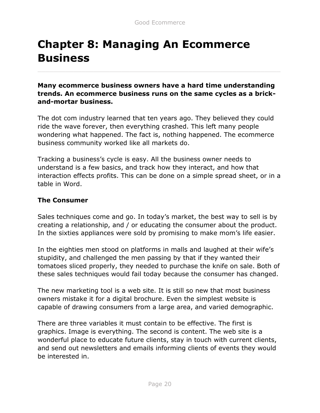## **Chapter 8: Managing An Ecommerce Business**

**Many ecommerce business owners have a hard time understanding trends. An ecommerce business runs on the same cycles as a brickand-mortar business.**

The dot com industry learned that ten years ago. They believed they could ride the wave forever, then everything crashed. This left many people wondering what happened. The fact is, nothing happened. The ecommerce business community worked like all markets do.

Tracking a business's cycle is easy. All the business owner needs to understand is a few basics, and track how they interact, and how that interaction effects profits. This can be done on a simple spread sheet, or in a table in Word.

#### **The Consumer**

Sales techniques come and go. In today's market, the best way to sell is by creating a relationship, and / or educating the consumer about the product. In the sixties appliances were sold by promising to make mom's life easier.

In the eighties men stood on platforms in malls and laughed at their wife's stupidity, and challenged the men passing by that if they wanted their tomatoes sliced properly, they needed to purchase the knife on sale. Both of these sales techniques would fail today because the consumer has changed.

The new marketing tool is a web site. It is still so new that most business owners mistake it for a digital brochure. Even the simplest website is capable of drawing consumers from a large area, and varied demographic.

There are three variables it must contain to be effective. The first is graphics. Image is everything. The second is content. The web site is a wonderful place to educate future clients, stay in touch with current clients, and send out newsletters and emails informing clients of events they would be interested in.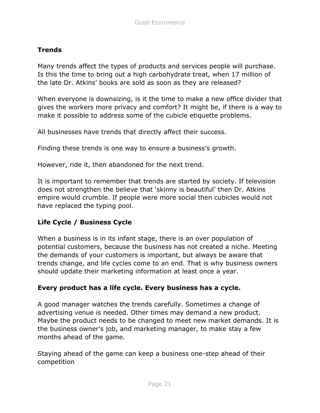#### **Trends**

Many trends affect the types of products and services people will purchase. Is this the time to bring out a high carbohydrate treat, when 17 million of the late Dr. Atkins' books are sold as soon as they are released?

When everyone is downsizing, is it the time to make a new office divider that gives the workers more privacy and comfort? It might be, if there is a way to make it possible to address some of the cubicle etiquette problems.

All businesses have trends that directly affect their success.

Finding these trends is one way to ensure a business's growth.

However, ride it, then abandoned for the next trend.

It is important to remember that trends are started by society. If television does not strengthen the believe that 'skinny is beautiful' then Dr. Atkins empire would crumble. If people were more social then cubicles would not have replaced the typing pool.

#### **Life Cycle / Business Cycle**

When a business is in its infant stage, there is an over population of potential customers, because the business has not created a niche. Meeting the demands of your customers is important, but always be aware that trends change, and life cycles come to an end. That is why business owners should update their marketing information at least once a year.

#### **Every product has a life cycle. Every business has a cycle.**

A good manager watches the trends carefully. Sometimes a change of advertising venue is needed. Other times may demand a new product. Maybe the product needs to be changed to meet new market demands. It is the business owner's job, and marketing manager, to make stay a few months ahead of the game.

Staying ahead of the game can keep a business one-step ahead of their competition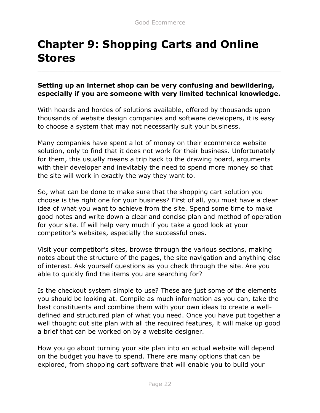## **Chapter 9: Shopping Carts and Online Stores**

#### **Setting up an internet shop can be very confusing and bewildering, especially if you are someone with very limited technical knowledge.**

With hoards and hordes of solutions available, offered by thousands upon thousands of website design companies and software developers, it is easy to choose a system that may not necessarily suit your business.

Many companies have spent a lot of money on their ecommerce website solution, only to find that it does not work for their business. Unfortunately for them, this usually means a trip back to the drawing board, arguments with their developer and inevitably the need to spend more money so that the site will work in exactly the way they want to.

So, what can be done to make sure that the shopping cart solution you choose is the right one for your business? First of all, you must have a clear idea of what you want to achieve from the site. Spend some time to make good notes and write down a clear and concise plan and method of operation for your site. If will help very much if you take a good look at your competitor's websites, especially the successful ones.

Visit your competitor's sites, browse through the various sections, making notes about the structure of the pages, the site navigation and anything else of interest. Ask yourself questions as you check through the site. Are you able to quickly find the items you are searching for?

Is the checkout system simple to use? These are just some of the elements you should be looking at. Compile as much information as you can, take the best constituents and combine them with your own ideas to create a welldefined and structured plan of what you need. Once you have put together a well thought out site plan with all the required features, it will make up good a brief that can be worked on by a website designer.

How you go about turning your site plan into an actual website will depend on the budget you have to spend. There are many options that can be explored, from shopping cart software that will enable you to build your